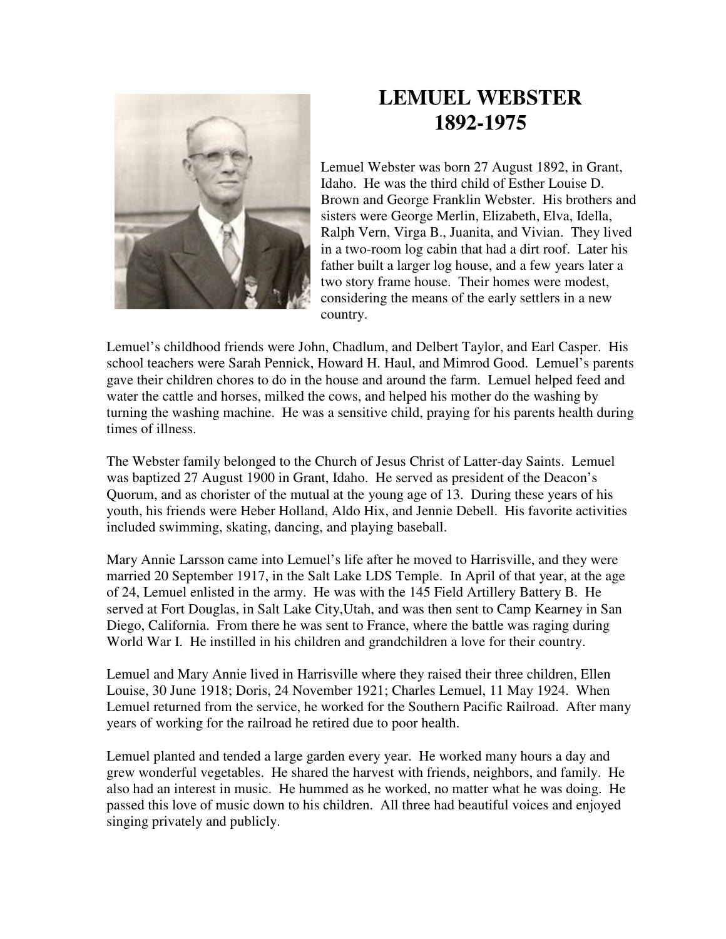

## **LEMUEL WEBSTER 1892-1975**

Lemuel Webster was born 27 August 1892, in Grant, Idaho. He was the third child of Esther Louise D. Brown and George Franklin Webster. His brothers and sisters were George Merlin, Elizabeth, Elva, Idella, Ralph Vern, Virga B., Juanita, and Vivian. They lived in a two-room log cabin that had a dirt roof. Later his father built a larger log house, and a few years later a two story frame house. Their homes were modest, considering the means of the early settlers in a new country.

Lemuel's childhood friends were John, Chadlum, and Delbert Taylor, and Earl Casper. His school teachers were Sarah Pennick, Howard H. Haul, and Mimrod Good. Lemuel's parents gave their children chores to do in the house and around the farm. Lemuel helped feed and water the cattle and horses, milked the cows, and helped his mother do the washing by turning the washing machine. He was a sensitive child, praying for his parents health during times of illness.

The Webster family belonged to the Church of Jesus Christ of Latter-day Saints. Lemuel was baptized 27 August 1900 in Grant, Idaho. He served as president of the Deacon's Quorum, and as chorister of the mutual at the young age of 13. During these years of his youth, his friends were Heber Holland, Aldo Hix, and Jennie Debell. His favorite activities included swimming, skating, dancing, and playing baseball.

Mary Annie Larsson came into Lemuel's life after he moved to Harrisville, and they were married 20 September 1917, in the Salt Lake LDS Temple. In April of that year, at the age of 24, Lemuel enlisted in the army. He was with the 145 Field Artillery Battery B. He served at Fort Douglas, in Salt Lake City,Utah, and was then sent to Camp Kearney in San Diego, California. From there he was sent to France, where the battle was raging during World War I. He instilled in his children and grandchildren a love for their country.

Lemuel and Mary Annie lived in Harrisville where they raised their three children, Ellen Louise, 30 June 1918; Doris, 24 November 1921; Charles Lemuel, 11 May 1924. When Lemuel returned from the service, he worked for the Southern Pacific Railroad. After many years of working for the railroad he retired due to poor health.

Lemuel planted and tended a large garden every year. He worked many hours a day and grew wonderful vegetables. He shared the harvest with friends, neighbors, and family. He also had an interest in music. He hummed as he worked, no matter what he was doing. He passed this love of music down to his children. All three had beautiful voices and enjoyed singing privately and publicly.